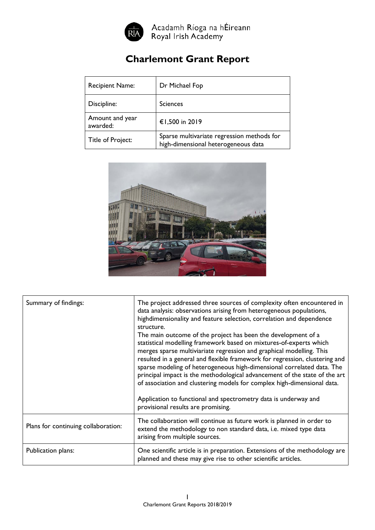

Acadamh Ríoga na hÉireann<br>Royal Irish Academy

## **Charlemont Grant Report**

| <b>Recipient Name:</b>      | Dr Michael Fop                                                                    |
|-----------------------------|-----------------------------------------------------------------------------------|
| Discipline:                 | <b>Sciences</b>                                                                   |
| Amount and year<br>awarded: | €1,500 in 2019                                                                    |
| Title of Project:           | Sparse multivariate regression methods for<br>high-dimensional heterogeneous data |



| Summary of findings:                | The project addressed three sources of complexity often encountered in<br>data analysis: observations arising from heterogeneous populations,<br>highdimensionality and feature selection, correlation and dependence<br>structure.<br>The main outcome of the project has been the development of a<br>statistical modelling framework based on mixtures-of-experts which<br>merges sparse multiviariate regression and graphical modelling. This<br>resulted in a general and flexible framework for regression, clustering and<br>sparse modeling of heterogeneous high-dimensional correlated data. The<br>principal impact is the methodological advancement of the state of the art<br>of association and clustering models for complex high-dimensional data.<br>Application to functional and spectrometry data is underway and<br>provisional results are promising. |
|-------------------------------------|-------------------------------------------------------------------------------------------------------------------------------------------------------------------------------------------------------------------------------------------------------------------------------------------------------------------------------------------------------------------------------------------------------------------------------------------------------------------------------------------------------------------------------------------------------------------------------------------------------------------------------------------------------------------------------------------------------------------------------------------------------------------------------------------------------------------------------------------------------------------------------|
| Plans for continuing collaboration: | The collaboration will continue as future work is planned in order to<br>extend the methodology to non standard data, i.e. mixed type data<br>arising from multiple sources.                                                                                                                                                                                                                                                                                                                                                                                                                                                                                                                                                                                                                                                                                                  |
| Publication plans:                  | One scientific article is in preparation. Extensions of the methodology are<br>planned and these may give rise to other scientific articles.                                                                                                                                                                                                                                                                                                                                                                                                                                                                                                                                                                                                                                                                                                                                  |